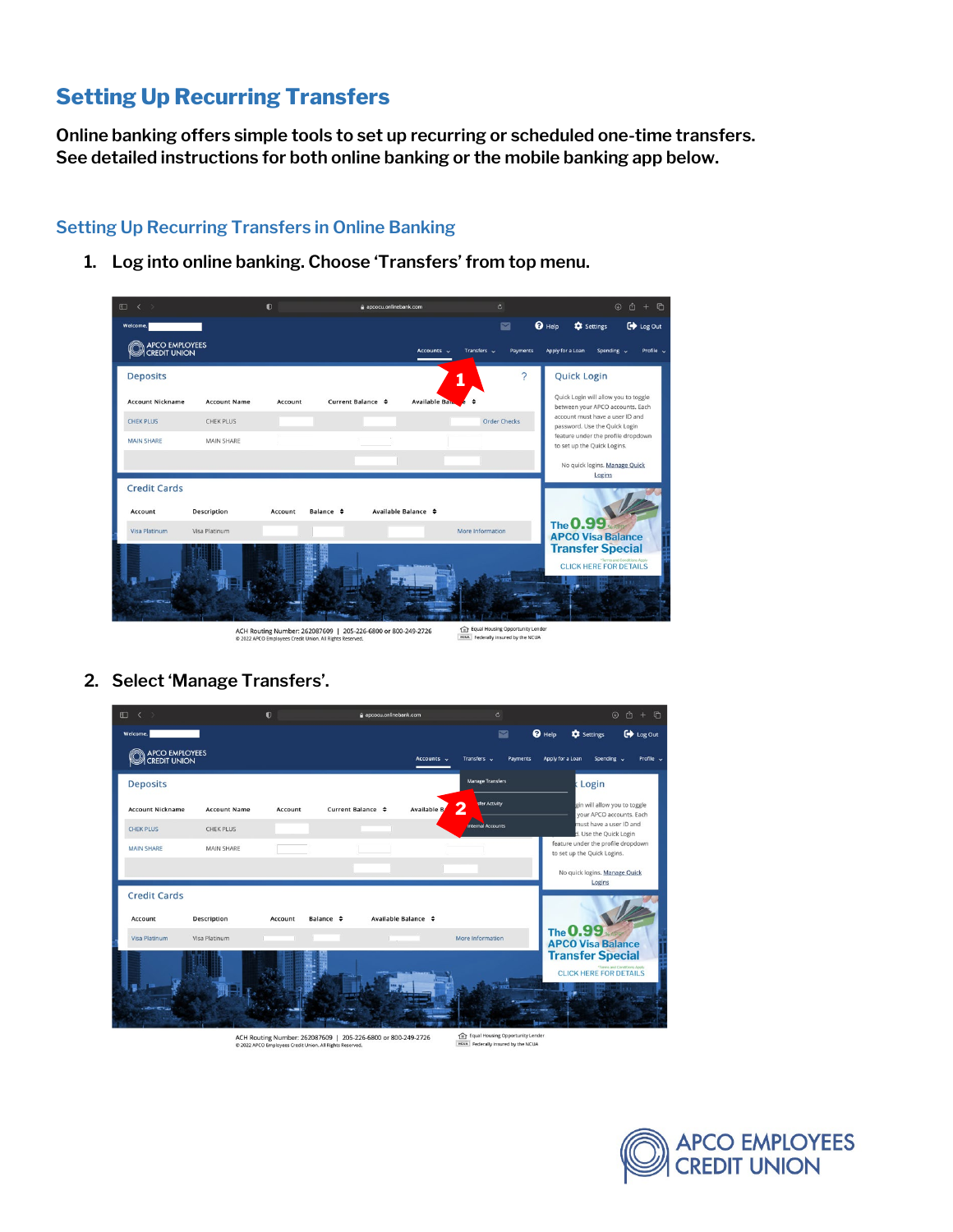## **Setting Up Recurring Transfers**

**Online banking offers simple tools to set up recurring or scheduled one-time transfers. See detailed instructions for both online banking or the mobile banking app below.**

## **Setting Up Recurring Transfers in Online Banking**

**1. Log into online banking. Choose 'Transfers' from top menu.**

| $\square$<br>$\langle \rangle$                       | $\bullet$                         | a apcocu.onlinebank.com             | $\mathfrak{C}$                  | $\odot$ $0$ + $\odot$                                                    |
|------------------------------------------------------|-----------------------------------|-------------------------------------|---------------------------------|--------------------------------------------------------------------------|
| Welcome,                                             |                                   |                                     | $\Theta$ Help<br>$\blacksquare$ | $\overline{\mathbf{C}}$ Log Out<br><b>C</b> Settings                     |
| APCO EMPLOYEES                                       |                                   | Transfers $\sim$<br>Accounts $\sim$ | <b>Payments</b>                 | Profile v<br>Apply for a Loan<br>Spending $\sim$                         |
| <b>Deposits</b>                                      |                                   |                                     | $\mathcal{P}$                   | <b>Quick Login</b>                                                       |
| <b>Account Nickname</b><br><b>Account Name</b>       | Current Balance $\div$<br>Account | <b>Available Band</b>               |                                 | Quick Login will allow you to toggle<br>between your APCO accounts. Each |
| <b>CHEK PLUS</b><br><b>CHEK PLUS</b>                 |                                   |                                     | <b>Order Checks</b>             | account must have a user ID and<br>password. Use the Quick Login         |
| <b>MAIN SHARE</b><br>MAIN SHARE                      |                                   |                                     |                                 | feature under the profile dropdown<br>to set up the Quick Logins.        |
|                                                      |                                   |                                     |                                 | No quick logins. Manage Quick<br>Logins                                  |
| <b>Credit Cards</b><br><b>Description</b><br>Account | Balance $\div$<br>Account         | Available Balance ≑                 |                                 |                                                                          |
| Visa Platinum<br><b>Visa Platinum</b>                |                                   | More Information                    |                                 | The 0.99<br><b>APCO Visa Balance</b>                                     |
|                                                      |                                   |                                     |                                 | <b>Transfer Special</b><br>"Terms and Conditions Apply                   |
|                                                      |                                   |                                     |                                 | <b>CLICK HERE FOR DETAILS</b>                                            |
|                                                      |                                   |                                     |                                 |                                                                          |
|                                                      |                                   |                                     |                                 |                                                                          |

ACH Routing Number: 262087609 | 205-226-6800 or 800-249-2726<br>© 2022 APCO Employees Credit Union. All Rights Reserved.

- Example 1 Figure 1 Federally insured by the NCUA
- **2. Select 'Manage Transfers'.**

| $\Box$<br>$\overline{\phantom{a}}$    |                     | $\bullet$ | apcocu.onlinebank.com  |                          | Ò.                             |               |                                                                   | $+$ $\Box$<br>$\circledcirc$<br>û |
|---------------------------------------|---------------------|-----------|------------------------|--------------------------|--------------------------------|---------------|-------------------------------------------------------------------|-----------------------------------|
| Welcome,                              |                     |           |                        |                          | $\blacksquare$                 | $\Theta$ Help | <b>C</b> Settings                                                 | Cog Out                           |
| APCO EMPLOYEES<br><b>CREDIT UNION</b> |                     |           |                        | Accounts $\sim$          | Transfers v<br><b>Payments</b> |               | Apply for a Loan<br>Spending $\sim$                               | Profile $\sim$                    |
| <b>Deposits</b>                       |                     |           |                        |                          | <b>Manage Transfers</b>        |               | Login                                                             |                                   |
| <b>Account Nickname</b>               | <b>Account Name</b> | Account   | Current Balance $\div$ | Available B              | <b>Ifer Activity</b><br>2      |               | gin will allow you to toggle<br>vour APCO accounts, Each          |                                   |
| <b>CHEK PLUS</b>                      | <b>CHEK PLUS</b>    |           |                        |                          | internal Accounts              |               | must have a user ID and<br>d. Use the Quick Login                 |                                   |
| <b>MAIN SHARE</b>                     | <b>MAIN SHARE</b>   |           |                        |                          |                                |               | feature under the profile dropdown<br>to set up the Quick Logins. |                                   |
| <b>Credit Cards</b>                   |                     |           |                        |                          |                                |               | No quick logins. Manage Quick<br>Logins                           |                                   |
| Account                               | Description         | Account   | Balance $\div$         | Available Balance $\div$ |                                |               | The 0.99                                                          |                                   |
| Visa Platinum                         | Visa Platinum       |           |                        |                          | More Information               |               | <b>APCO Visa Balance</b>                                          |                                   |
|                                       |                     |           |                        |                          |                                |               | <b>Transfer Special</b><br><b>CLICK HERE FOR DETAILS</b>          | *Terms and Conditions Apply       |

ACH Routing Number: 262087609 | 205-226-6800 or 800-249-2726<br>© 2022 APCO Employees Credit Union. All Rights Reserved.

Equal Housing Opportunity Lender<br> **REGISTER FEDERAL FEDERAL PROPERTY** 

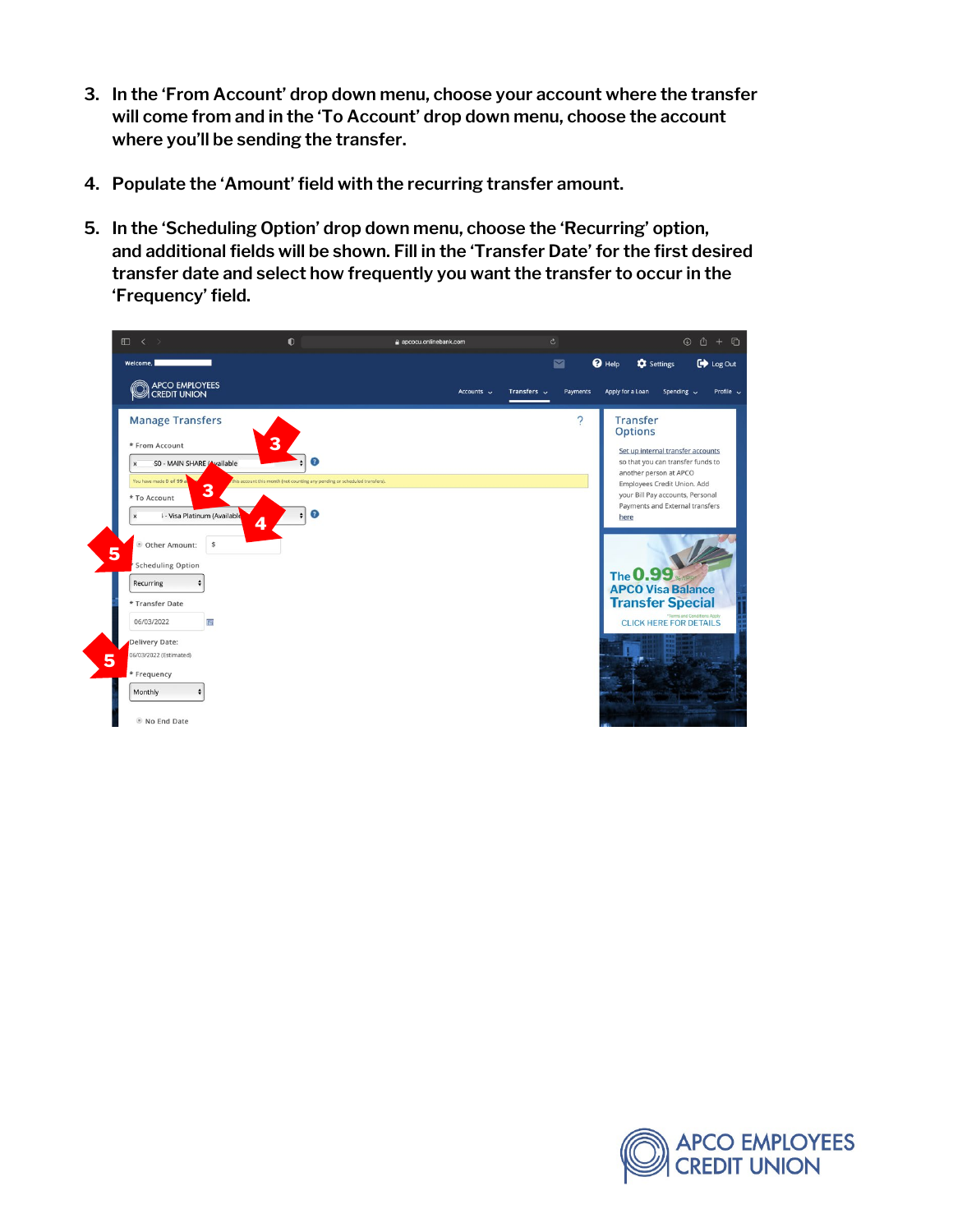- **3. In the 'From Account' drop down menu, choose your account where the transfer will come from and in the 'To Account' drop down menu, choose the account where you'll be sending the transfer.**
- **4. Populate the 'Amount' field with the recurring transfer amount.**
- **5. In the 'Scheduling Option' drop down menu, choose the 'Recurring' option, and additional fields will be shown. Fill in the 'Transfer Date' for the first desired transfer date and select how frequently you want the transfer to occur in the 'Frequency' field.**



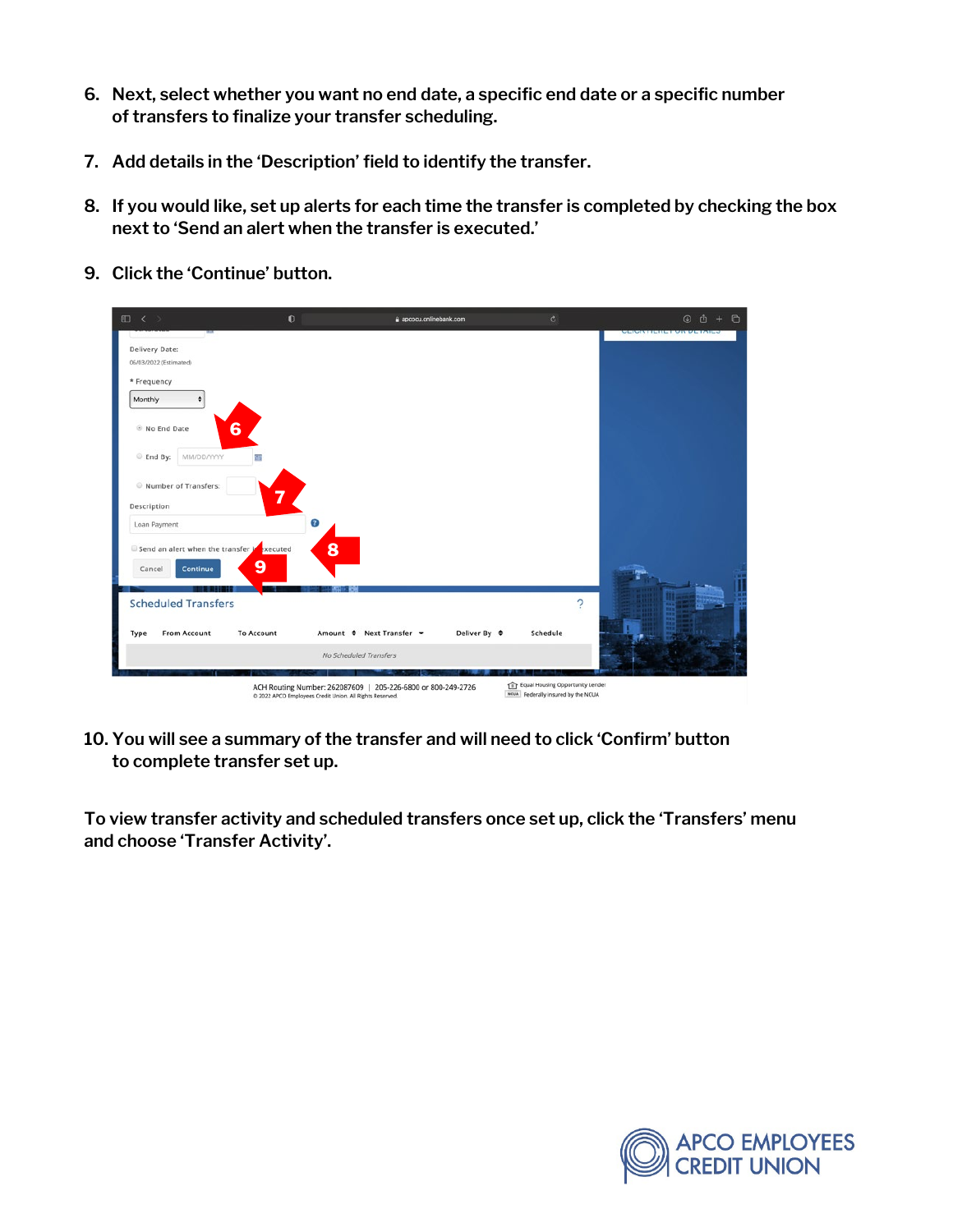- **6. Next, select whether you want no end date, a specific end date or a specific number of transfers to finalize your transfer scheduling.**
- **7. Add details in the 'Description' field to identify the transfer.**
- **8. If you would like, set up alerts for each time the transfer is completed by checking the box next to 'Send an alert when the transfer is executed.'**

| □ く >                                            | $\bullet$                                                                                                                | a apcocu.onlinebank.com | $\mathbf{c}$                                                           | $\odot$ $0 + \odot$            |
|--------------------------------------------------|--------------------------------------------------------------------------------------------------------------------------|-------------------------|------------------------------------------------------------------------|--------------------------------|
|                                                  |                                                                                                                          |                         |                                                                        | <b>SHARA BERKININ INSTANCE</b> |
| Delivery Date:<br>06/03/2022 (Estimated)         |                                                                                                                          |                         |                                                                        |                                |
|                                                  |                                                                                                                          |                         |                                                                        |                                |
| * Frequency                                      |                                                                                                                          |                         |                                                                        |                                |
| Monthly                                          |                                                                                                                          |                         |                                                                        |                                |
| 6<br><sup>®</sup> No End Date                    |                                                                                                                          |                         |                                                                        |                                |
| End By:<br>MM/DD/YYYY<br>而                       |                                                                                                                          |                         |                                                                        |                                |
| Number of Transfers:                             | =                                                                                                                        |                         |                                                                        |                                |
| Description                                      |                                                                                                                          |                         |                                                                        |                                |
| Loan Payment                                     | $\circ$                                                                                                                  |                         |                                                                        |                                |
| Send an alert when the transfer is               | 8<br>xecuted                                                                                                             |                         |                                                                        |                                |
| 9<br>Continue<br>Cancel                          |                                                                                                                          |                         |                                                                        |                                |
|                                                  |                                                                                                                          |                         |                                                                        |                                |
|                                                  |                                                                                                                          |                         |                                                                        |                                |
| <b>Scheduled Transfers</b>                       |                                                                                                                          |                         | $\overline{\phantom{a}}$                                               |                                |
| <b>From Account</b><br><b>To Account</b><br>Type | Amount ≑ Next Transfer ▼                                                                                                 | Deliver By ≑            | Schedule                                                               |                                |
|                                                  | No Scheduled Transfers                                                                                                   |                         |                                                                        |                                |
|                                                  |                                                                                                                          |                         |                                                                        |                                |
|                                                  | ACH Routing Number: 262087609   205-226-6800 or 800-249-2726<br>@ 2022 APCO Employees Credit Union. All Rights Reserved. |                         | Equal Housing Opportunity Lender<br>NOVA Federally insured by the NCUA |                                |

**9. Click the 'Continue' button.**

**10. You will see a summary of the transfer and will need to click 'Confirm' button to complete transfer set up.**

**To view transfer activity and scheduled transfers once set up, click the 'Transfers' menu and choose 'Transfer Activity'.**

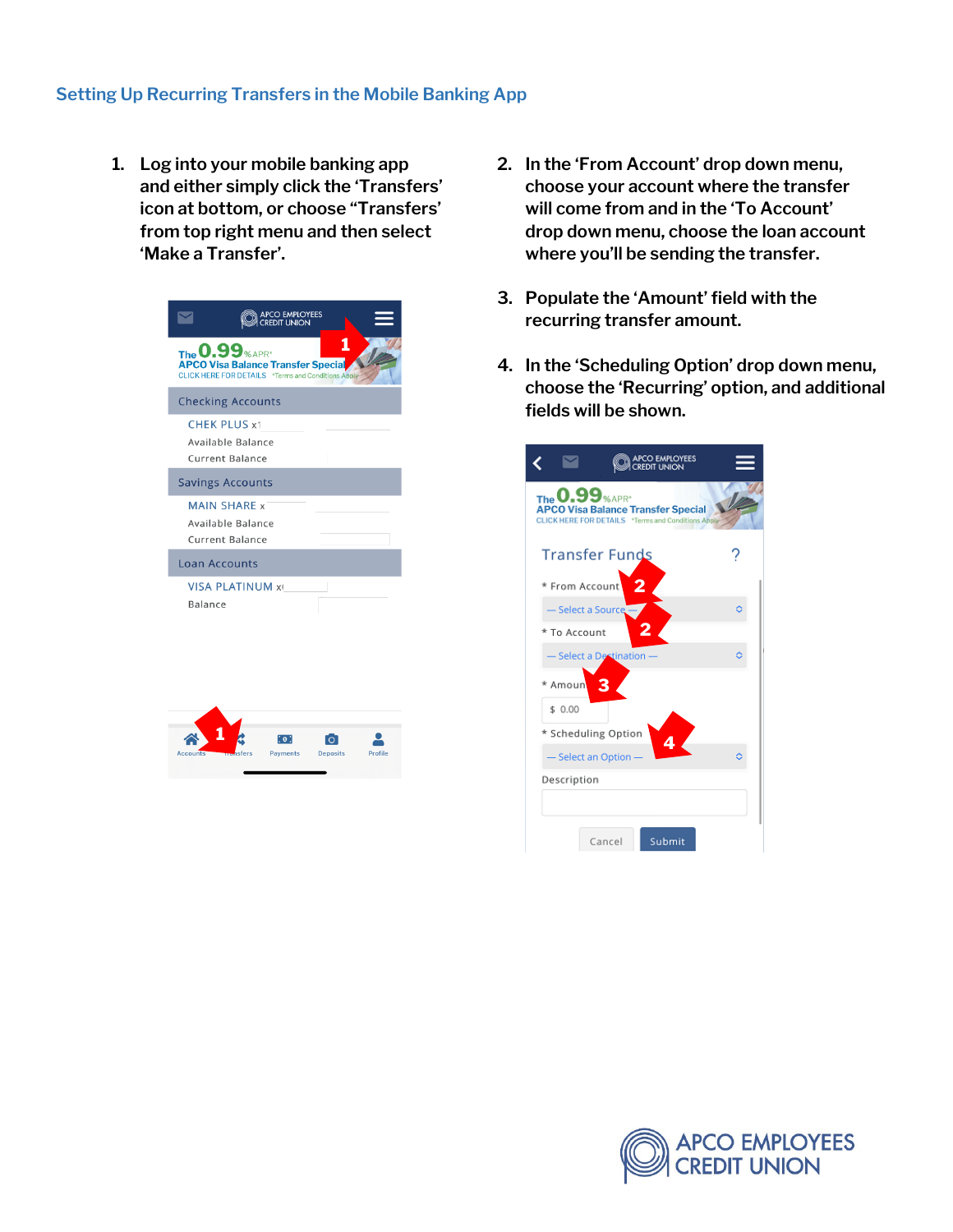## **Setting Up Recurring Transfers in the Mobile Banking App**

**1. Log into your mobile banking app and either simply click the 'Transfers' icon at bottom, or choose "Transfers' from top right menu and then select 'Make a Transfer'.**

| <b>APCO EMPLOYEES</b><br><b>REDIT UNION</b>                                                                             |         |
|-------------------------------------------------------------------------------------------------------------------------|---------|
| 1<br>The <b>0.99</b> % APR*<br>APCO Visa Balance Transfer Special<br>CLICK HERE FOR DETAILS *Terms and Conditions Apply |         |
| <b>Checking Accounts</b>                                                                                                |         |
| <b>CHEK PLUS x1</b><br>Available Balance<br><b>Current Balance</b>                                                      |         |
| <b>Savings Accounts</b>                                                                                                 |         |
| <b>MAIN SHARE x</b><br>Available Balance<br><b>Current Balance</b>                                                      |         |
| <b>Loan Accounts</b>                                                                                                    |         |
| <b>VISA PLATINUM xi</b><br>Balance                                                                                      |         |
| io :<br>$\Omega$<br>Payments<br>Accounts<br><b>Deposits</b>                                                             | Profile |

- **2. In the 'From Account' drop down menu, choose your account where the transfer will come from and in the 'To Account' drop down menu, choose the loan account where you'll be sending the transfer.**
- **3. Populate the 'Amount' field with the recurring transfer amount.**
- **4. In the 'Scheduling Option' drop down menu, choose the 'Recurring' option, and additional fields will be shown.**